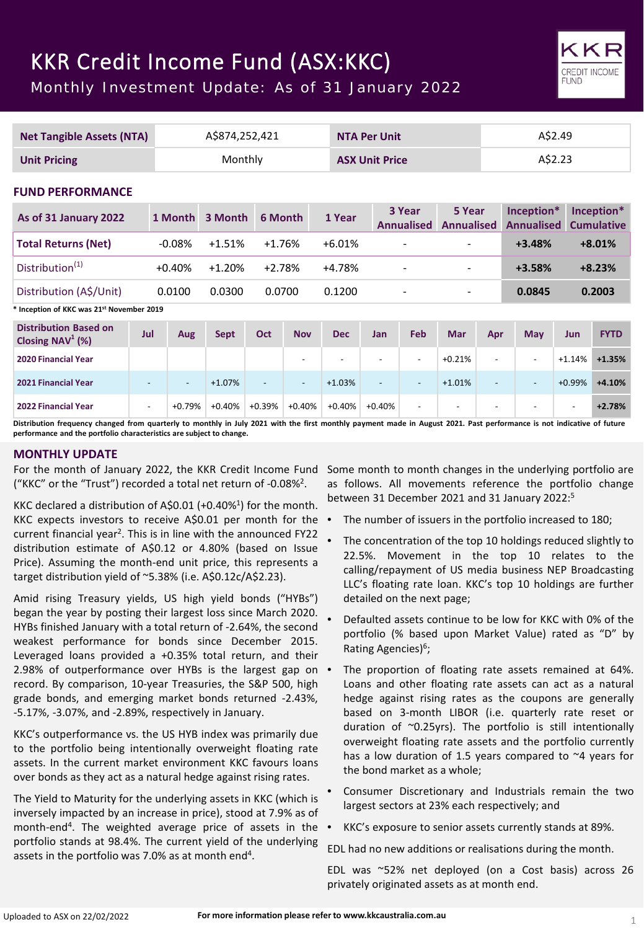# KKR Credit Income Fund (ASX:KKC)

Monthly Investment Update: As of 31 January 2022

| <b>Net Tangible Assets (NTA)</b>                    |                          | A\$874,252,421           |             |                |                          | <b>NTA Per Unit</b>      |                          |                             |                             | A\$2.49                  |                                 |                          |                                 |
|-----------------------------------------------------|--------------------------|--------------------------|-------------|----------------|--------------------------|--------------------------|--------------------------|-----------------------------|-----------------------------|--------------------------|---------------------------------|--------------------------|---------------------------------|
| <b>Unit Pricing</b>                                 |                          | Monthly                  |             |                | <b>ASX Unit Price</b>    |                          |                          |                             | A\$2.23                     |                          |                                 |                          |                                 |
|                                                     | <b>FUND PERFORMANCE</b>  |                          |             |                |                          |                          |                          |                             |                             |                          |                                 |                          |                                 |
| As of 31 January 2022                               |                          | 1 Month                  | 3 Month     | 6 Month        |                          | 1 Year                   |                          | 3 Year<br><b>Annualised</b> | 5 Year<br><b>Annualised</b> |                          | Inception*<br><b>Annualised</b> |                          | Inception*<br><b>Cumulative</b> |
| <b>Total Returns (Net)</b>                          |                          | $-0.08%$                 | $+1.51%$    | $+1.76%$       |                          | $+6.01%$                 |                          |                             |                             |                          | $+3.48%$                        |                          | $+8.01%$                        |
| Distribution <sup>(1)</sup>                         |                          | $+0.40%$                 | $+1.20%$    | $+2.78%$       |                          | $+4.78%$                 |                          |                             |                             |                          | $+3.58%$                        |                          | $+8.23%$                        |
| Distribution (A\$/Unit)                             |                          | 0.0100                   | 0.0300      | 0.0700         |                          | 0.1200                   |                          | $\overline{\phantom{a}}$    |                             |                          | 0.0845                          |                          | 0.2003                          |
| Inception of KKC was 21st November 2019             |                          |                          |             |                |                          |                          |                          |                             |                             |                          |                                 |                          |                                 |
| <b>Distribution Based on</b><br>Closing $NAV^1$ (%) | Jul                      | Aug                      | <b>Sept</b> | <b>Oct</b>     | <b>Nov</b>               | <b>Dec</b>               | <b>Jan</b>               | Feb                         | <b>Mar</b>                  | Apr                      | May                             | Jun                      | <b>FYTD</b>                     |
| 2020 Financial Year                                 |                          |                          |             |                | $\overline{\phantom{0}}$ | $\overline{\phantom{a}}$ | $\overline{\phantom{a}}$ | ٠                           | $+0.21%$                    | $\overline{\phantom{a}}$ |                                 | $+1.14%$                 | $+1.35%$                        |
| 2021 Financial Year                                 | $\overline{\phantom{a}}$ | $\overline{\phantom{a}}$ | $+1.07%$    | $\overline{a}$ | $\overline{\phantom{a}}$ | $+1.03%$                 | $\overline{a}$           | $\overline{\phantom{a}}$    | $+1.01%$                    | $\overline{a}$           | $\blacksquare$                  | $+0.99%$                 | $+4.10%$                        |
| 2022 Financial Year                                 | $\blacksquare$           | $+0.79%$                 | $+0.40%$    | $+0.39%$       | $+0.40%$                 | $+0.40%$                 | $+0.40%$                 | ٠                           | $\overline{\phantom{a}}$    | $\overline{\phantom{a}}$ |                                 | $\overline{\phantom{a}}$ | $+2.78%$                        |

Distribution frequency changed from quarterly to monthly in July 2021 with the first monthly payment made in August 2021. Past performance is not indicative of future **performance and the portfolio characteristics are subject to change.**

# **MONTHLY UPDATE**

For the month of January 2022, the KKR Credit Income Fund ("KKC" or the "Trust") recorded a total net return of -0.08%2.

KKC declared a distribution of A\$0.01 (+0.40%<sup>1</sup>) for the month. KKC expects investors to receive A\$0.01 per month for the current financial year2. This is in line with the announced FY22 distribution estimate of A\$0.12 or 4.80% (based on Issue Price). Assuming the month-end unit price, this represents a target distribution yield of ~5.38% (i.e. A\$0.12c/A\$2.23).

Amid rising Treasury yields, US high yield bonds ("HYBs") began the year by posting their largest loss since March 2020. HYBs finished January with a total return of -2.64%, the second weakest performance for bonds since December 2015. Leveraged loans provided a +0.35% total return, and their 2.98% of outperformance over HYBs is the largest gap on • record. By comparison, 10-year Treasuries, the S&P 500, high grade bonds, and emerging market bonds returned -2.43%, -5.17%, -3.07%, and -2.89%, respectively in January.

KKC's outperformance vs. the US HYB index was primarily due to the portfolio being intentionally overweight floating rate assets. In the current market environment KKC favours loans over bonds as they act as a natural hedge against rising rates.

The Yield to Maturity for the underlying assets in KKC (which is inversely impacted by an increase in price), stood at 7.9% as of month-end4. The weighted average price of assets in the portfolio stands at 98.4%. The current yield of the underlying assets in the portfolio was 7.0% as at month end<sup>4</sup>.

Some month to month changes in the underlying portfolio are as follows. All movements reference the portfolio change between 31 December 2021 and 31 January 2022: 5

- The number of issuers in the portfolio increased to 180;
- The concentration of the top 10 holdings reduced slightly to 22.5%. Movement in the top 10 relates to the calling/repayment of US media business NEP Broadcasting LLC's floating rate loan. KKC's top 10 holdings are further detailed on the next page;
- Defaulted assets continue to be low for KKC with 0% of the portfolio (% based upon Market Value) rated as "D" by Rating Agencies)<sup>6</sup>;
- The proportion of floating rate assets remained at 64%. Loans and other floating rate assets can act as a natural hedge against rising rates as the coupons are generally based on 3-month LIBOR (i.e. quarterly rate reset or duration of ~0.25yrs). The portfolio is still intentionally overweight floating rate assets and the portfolio currently has a low duration of 1.5 years compared to ~4 years for the bond market as a whole;
- Consumer Discretionary and Industrials remain the two largest sectors at 23% each respectively; and
- KKC's exposure to senior assets currently stands at 89%.

EDL had no new additions or realisations during the month.

EDL was ~52% net deployed (on a Cost basis) across 26 privately originated assets as at month end.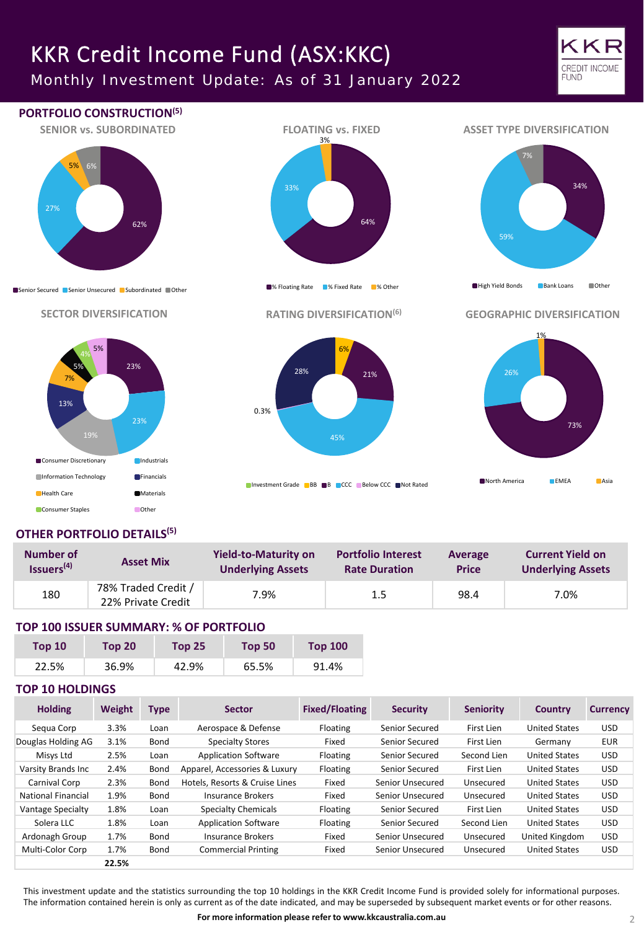# KKR Credit Income Fund (ASX:KKC)

Monthly Investment Update: As of 31 January 2022





# **OTHER PORTFOLIO DETAILS(5)**

| Number of              | <b>Asset Mix</b>                          | <b>Yield-to-Maturity on</b> | <b>Portfolio Interest</b> | Average      | <b>Current Yield on</b>  |  |
|------------------------|-------------------------------------------|-----------------------------|---------------------------|--------------|--------------------------|--|
| Issuers <sup>(4)</sup> |                                           | <b>Underlying Assets</b>    | <b>Rate Duration</b>      | <b>Price</b> | <b>Underlying Assets</b> |  |
| 180                    | 78% Traded Credit /<br>22% Private Credit | 7.9%                        | 1.5                       | 98.4         | 7.0%                     |  |

## **TOP 100 ISSUER SUMMARY: % OF PORTFOLIO**

| Top <sub>10</sub> | Top 20 | Top $251$ | Top 50 | <b>Top 100</b> |
|-------------------|--------|-----------|--------|----------------|
| 22.5%             | 36.9%  | 42.9%     | 65.5%  | 91.4%          |

## **TOP 10 HOLDINGS**

| <b>Holding</b>            | Weight | <b>Type</b> | <b>Sector</b>                  | <b>Fixed/Floating</b> | <b>Security</b>  | <b>Seniority</b> | Country              | <b>Currency</b> |
|---------------------------|--------|-------------|--------------------------------|-----------------------|------------------|------------------|----------------------|-----------------|
| Segua Corp                | 3.3%   | Loan        | Aerospace & Defense            | Floating              | Senior Secured   | First Lien       | <b>United States</b> | <b>USD</b>      |
| Douglas Holding AG        | 3.1%   | Bond        | Specialty Stores               | Fixed                 | Senior Secured   | First Lien       | Germany              | <b>EUR</b>      |
| Misys Ltd                 | 2.5%   | Loan        | <b>Application Software</b>    | Floating              | Senior Secured   | Second Lien      | <b>United States</b> | <b>USD</b>      |
| Varsity Brands Inc        | 2.4%   | Bond        | Apparel, Accessories & Luxury  | Floating              | Senior Secured   | First Lien       | <b>United States</b> | <b>USD</b>      |
| Carnival Corp             | 2.3%   | Bond        | Hotels, Resorts & Cruise Lines | Fixed                 | Senior Unsecured | Unsecured        | <b>United States</b> | <b>USD</b>      |
| <b>National Financial</b> | 1.9%   | Bond        | Insurance Brokers              | Fixed                 | Senior Unsecured | Unsecured        | <b>United States</b> | USD.            |
| Vantage Specialty         | 1.8%   | Loan        | <b>Specialty Chemicals</b>     | Floating              | Senior Secured   | First Lien       | <b>United States</b> | <b>USD</b>      |
| Solera LLC                | 1.8%   | Loan        | <b>Application Software</b>    | Floating              | Senior Secured   | Second Lien      | <b>United States</b> | USD.            |
| Ardonagh Group            | 1.7%   | Bond        | Insurance Brokers              | Fixed                 | Senior Unsecured | Unsecured        | United Kingdom       | <b>USD</b>      |
| Multi-Color Corp          | 1.7%   | Bond        | <b>Commercial Printing</b>     | Fixed                 | Senior Unsecured | Unsecured        | <b>United States</b> | USD.            |
|                           | 22.5%  |             |                                |                       |                  |                  |                      |                 |

This investment update and the statistics surrounding the top 10 holdings in the KKR Credit Income Fund is provided solely for informational purposes. The information contained herein is only as current as of the date indicated, and may be superseded by subsequent market events or for other reasons.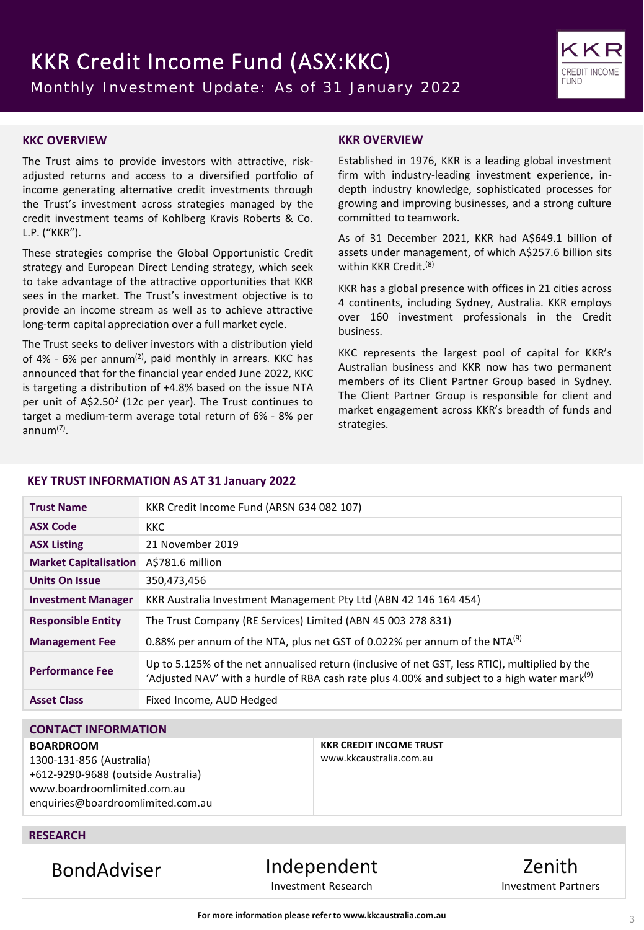

## **KKC OVERVIEW**

The Trust aims to provide investors with attractive, riskadjusted returns and access to a diversified portfolio of income generating alternative credit investments through the Trust's investment across strategies managed by the credit investment teams of Kohlberg Kravis Roberts & Co. L.P. ("KKR").

These strategies comprise the Global Opportunistic Credit strategy and European Direct Lending strategy, which seek to take advantage of the attractive opportunities that KKR sees in the market. The Trust's investment objective is to provide an income stream as well as to achieve attractive long-term capital appreciation over a full market cycle.

The Trust seeks to deliver investors with a distribution yield of 4% - 6% per annum<sup>(2)</sup>, paid monthly in arrears. KKC has announced that for the financial year ended June 2022, KKC is targeting a distribution of +4.8% based on the issue NTA per unit of A\$2.50<sup>2</sup> (12c per year). The Trust continues to target a medium-term average total return of 6% - 8% per annum(7) .

## **KKR OVERVIEW**

Established in 1976, KKR is a leading global investment firm with industry-leading investment experience, indepth industry knowledge, sophisticated processes for growing and improving businesses, and a strong culture committed to teamwork.

As of 31 December 2021, KKR had A\$649.1 billion of assets under management, of which A\$257.6 billion sits within KKR Credit. (8)

KKR has a global presence with offices in 21 cities across 4 continents, including Sydney, Australia. KKR employs over 160 investment professionals in the Credit business.

KKC represents the largest pool of capital for KKR's Australian business and KKR now has two permanent members of its Client Partner Group based in Sydney. The Client Partner Group is responsible for client and market engagement across KKR's breadth of funds and strategies.

### **KEY TRUST INFORMATION AS AT 31 January 2022**

| <b>Trust Name</b>            | KKR Credit Income Fund (ARSN 634 082 107)                                                                                                                                                                  |
|------------------------------|------------------------------------------------------------------------------------------------------------------------------------------------------------------------------------------------------------|
| <b>ASX Code</b>              | <b>KKC</b>                                                                                                                                                                                                 |
| <b>ASX Listing</b>           | 21 November 2019                                                                                                                                                                                           |
| <b>Market Capitalisation</b> | A\$781.6 million                                                                                                                                                                                           |
| <b>Units On Issue</b>        | 350,473,456                                                                                                                                                                                                |
| <b>Investment Manager</b>    | KKR Australia Investment Management Pty Ltd (ABN 42 146 164 454)                                                                                                                                           |
| <b>Responsible Entity</b>    | The Trust Company (RE Services) Limited (ABN 45 003 278 831)                                                                                                                                               |
| <b>Management Fee</b>        | 0.88% per annum of the NTA, plus net GST of 0.022% per annum of the NTA <sup>(9)</sup>                                                                                                                     |
| <b>Performance Fee</b>       | Up to 5.125% of the net annualised return (inclusive of net GST, less RTIC), multiplied by the<br>'Adjusted NAV' with a hurdle of RBA cash rate plus 4.00% and subject to a high water mark <sup>(9)</sup> |
| <b>Asset Class</b>           | Fixed Income, AUD Hedged                                                                                                                                                                                   |

## **CONTACT INFORMATION**

#### **BOARDROOM**

1300-131-856 (Australia) +612-9290-9688 (outside Australia) www.boardroomlimited.com.au enquiries@boardroomlimited.com.au **KKR CREDIT INCOME TRUST** www.kkcaustralia.com.au

## **RESEARCH**

BondAdviser Independent Investment Research

Zenith Investment Partners

**For more information please refer to www.kkcaustralia.com.au**